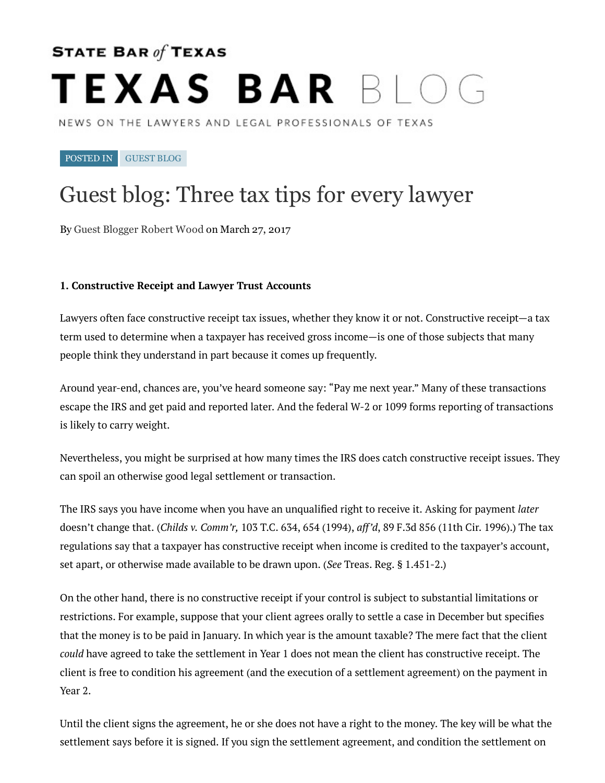# STATE BAR of TEXAS TEXAS BAR BIOG

NEWS ON THE LAWYERS AND LEGAL PROFESSIONALS OF TEXAS

POSTED IN [GUEST](http://blog.texasbar.com/category/guest-blog/) BLOG

## Guest blog: Three tax tips for every lawyer

By Guest [Blogger](http://www.woodllp.com/) Robert Wood on March 27, 2017

#### 1. Constructive Receipt and Lawyer Trust Accounts

Lawyers often face constructive receipt tax issues, whether they know it or not. Constructive receipt—a tax term used to determine when a taxpayer has received gross income-is one of those subjects that many people think they understand in part because it comes up frequently.

Around year-end, chances are, you've heard someone say: "Pay me next year." Many of these transactions escape the IRS and get paid and reported later. And the federal W-2 or 1099 forms reporting of transactions is likely to carry weight.

Nevertheless, you might be surprised at how many times the IRS does catch constructive receipt issues. They can spoil an otherwise good legal settlement or transaction.

The IRS says you have income when you have an unqualified right to receive it. Asking for payment *later* doesn't change that. (*Childs v. Comm'r*, 103 T.C. 634, 654 (1994), *aff'd*, 89 F.3d 856 (11th Cir. 1996).) The tax regulations say that a taxpayer has constructive receipt when income is credited to the taxpayer's account, set apart, or otherwise made available to be drawn upon. (*See Treas. Reg. § 1.451-2.*)

On the other hand, there is no constructive receipt if your control is subject to substantial limitations or restrictions. For example, suppose that your client agrees orally to settle a case in December but specifies that the money is to be paid in January. In which year is the amount taxable? The mere fact that the client *could* have agreed to take the settlement in Year 1 does not mean the client has constructive receipt. The client is free to condition his agreement (and the execution of a settlement agreement) on the payment in Year 2.

Until the client signs the agreement, he or she does not have a right to the money. The key will be what the settlement says before it is signed. If you sign the settlement agreement, and condition the settlement on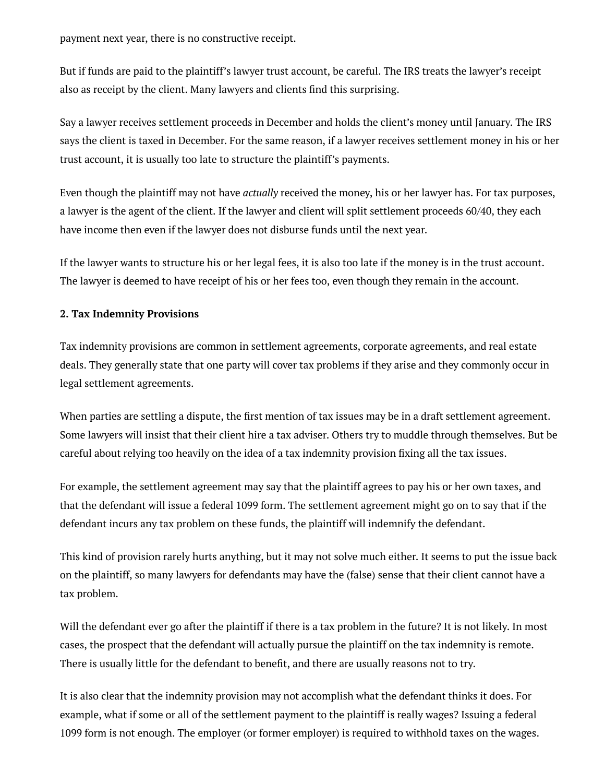payment next year, there is no constructive receipt.

But if funds are paid to the plaintiff's lawyer trust account, be careful. The IRS treats the lawyer's receipt also as receipt by the client. Many lawyers and clients find this surprising.

Say a lawyer receives settlement proceeds in December and holds the client's money until January. The IRS says the client is taxed in December. For the same reason, if a lawyer receives settlement money in his or her trust account, it is usually too late to structure the plaintiff's payments.

Even though the plaintiff may not have *actually* received the money, his or her lawyer has. For tax purposes, a lawyer is the agent of the client. If the lawyer and client will split settlement proceeds 60/40, they each have income then even if the lawyer does not disburse funds until the next year.

If the lawyer wants to structure his or her legal fees, it is also too late if the money is in the trust account. The lawyer is deemed to have receipt of his or her fees too, even though they remain in the account.

### 2. Tax Indemnity Provisions

Tax indemnity provisions are common in settlement agreements, corporate agreements, and real estate deals. They generally state that one party will cover tax problems if they arise and they commonly occur in legal settlement agreements.

When parties are settling a dispute, the first mention of tax issues may be in a draft settlement agreement. Some lawyers will insist that their client hire a tax adviser. Others try to muddle through themselves. But be careful about relying too heavily on the idea of a tax indemnity provision fixing all the tax issues.

For example, the settlement agreement may say that the plaintiff agrees to pay his or her own taxes, and that the defendant will issue a federal 1099 form. The settlement agreement might go on to say that if the defendant incurs any tax problem on these funds, the plaintiff will indemnify the defendant.

This kind of provision rarely hurts anything, but it may not solve much either. It seems to put the issue back on the plaintiff, so many lawyers for defendants may have the (false) sense that their client cannot have a tax problem.

Will the defendant ever go after the plaintiff if there is a tax problem in the future? It is not likely. In most cases, the prospect that the defendant will actually pursue the plaintiff on the tax indemnity is remote. There is usually little for the defendant to benefit, and there are usually reasons not to try.

It is also clear that the indemnity provision may not accomplish what the defendant thinks it does. For example, what if some or all of the settlement payment to the plaintiff is really wages? Issuing a federal 1099 form is not enough. The employer (or former employer) is required to withhold taxes on the wages.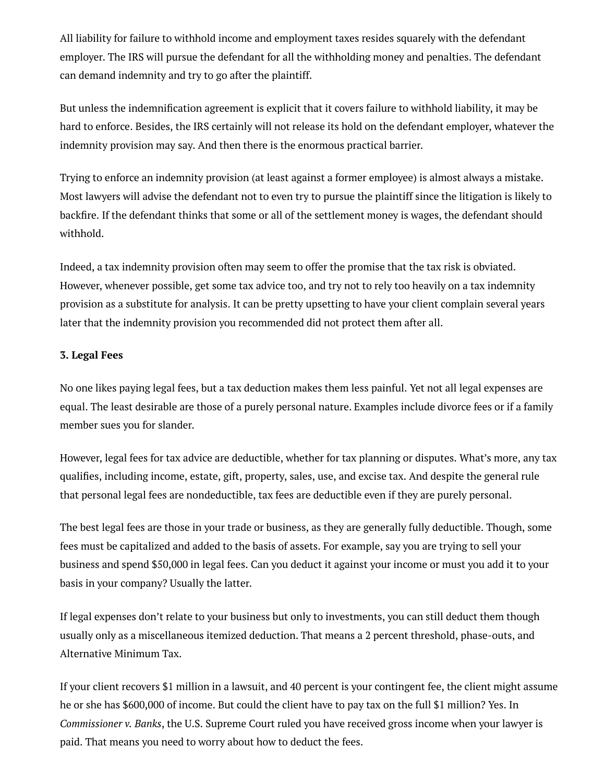All liability for failure to withhold income and employment taxes resides squarely with the defendant employer. The IRS will pursue the defendant for all the withholding money and penalties. The defendant can demand indemnity and try to go after the plaintiff.

But unless the indemnification agreement is explicit that it covers failure to withhold liability, it may be hard to enforce. Besides, the IRS certainly will not release its hold on the defendant employer, whatever the indemnity provision may say. And then there is the enormous practical barrier.

Trying to enforce an indemnity provision (at least against a former employee) is almost always a mistake. Most lawyers will advise the defendant not to even try to pursue the plaintiff since the litigation is likely to backfire. If the defendant thinks that some or all of the settlement money is wages, the defendant should withhold.

Indeed, a tax indemnity provision often may seem to offer the promise that the tax risk is obviated. However, whenever possible, get some tax advice too, and try not to rely too heavily on a tax indemnity provision as a substitute for analysis. It can be pretty upsetting to have your client complain several years later that the indemnity provision you recommended did not protect them after all.

#### 3. Legal Fee

No one likes paying legal fees, but a tax deduction makes them less painful. Yet not all legal expenses are equal. The least desirable are those of a purely personal nature. Examples include divorce fees or if a family member sues you for slander.

However, legal fees for tax advice are deductible, whether for tax planning or disputes. What's more, any tax qualifies, including income, estate, gift, property, sales, use, and excise tax. And despite the general rule that personal legal fees are nondeductible, tax fees are deductible even if they are purely personal.

The best legal fees are those in your trade or business, as they are generally fully deductible. Though, some fees must be capitalized and added to the basis of assets. For example, say you are trying to sell your business and spend \$50,000 in legal fees. Can you deduct it against your income or must you add it to your basis in your company? Usually the latter.

If legal expenses don't relate to your business but only to investments, you can still deduct them though usually only as a miscellaneous itemized deduction. That means a 2 percent threshold, phase-outs, and Alternative Minimum Tax.

If your client recovers \$1 million in a lawsuit, and 40 percent is your contingent fee, the client might assume he or she has \$600,000 of income. But could the client have to pay tax on the full \$1 million? Yes. In *Commissioner v. Banks*, the U.S. Supreme Court ruled you have received gross income when your lawyer is paid. That means you need to worry about how to deduct the fees.